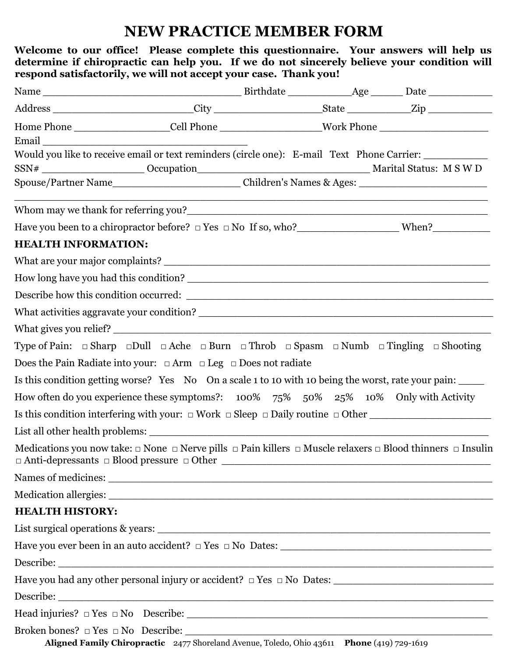# **NEW PRACTICE MEMBER FORM**

**Welcome to our office! Please complete this questionnaire. Your answers will help us determine if chiropractic can help you. If we do not sincerely believe your condition will respond satisfactorily, we will not accept your case. Thank you!**

| Would you like to receive email or text reminders (circle one): E-mail Text Phone Carrier: ________<br>Spouse/Partner Name_________________________________Children's Names & Ages: _________________________________ |                                                                                            |  |  |
|-----------------------------------------------------------------------------------------------------------------------------------------------------------------------------------------------------------------------|--------------------------------------------------------------------------------------------|--|--|
|                                                                                                                                                                                                                       |                                                                                            |  |  |
|                                                                                                                                                                                                                       |                                                                                            |  |  |
|                                                                                                                                                                                                                       |                                                                                            |  |  |
| <b>HEALTH INFORMATION:</b>                                                                                                                                                                                            |                                                                                            |  |  |
|                                                                                                                                                                                                                       |                                                                                            |  |  |
|                                                                                                                                                                                                                       |                                                                                            |  |  |
|                                                                                                                                                                                                                       |                                                                                            |  |  |
|                                                                                                                                                                                                                       |                                                                                            |  |  |
|                                                                                                                                                                                                                       |                                                                                            |  |  |
| Type of Pain: $\Box$ Sharp $\Box$ Dull $\Box$ Ache $\Box$ Burn $\Box$ Throb $\Box$ Spasm $\Box$ Numb $\Box$ Tingling $\Box$ Shooting                                                                                  |                                                                                            |  |  |
| Does the Pain Radiate into your: $\Box$ Arm $\Box$ Leg $\Box$ Does not radiate                                                                                                                                        |                                                                                            |  |  |
| Is this condition getting worse? Yes No On a scale 1 to 10 with 10 being the worst, rate your pain:                                                                                                                   |                                                                                            |  |  |
| How often do you experience these symptoms?: 100% 75% 50% 25% 10% Only with Activity                                                                                                                                  |                                                                                            |  |  |
|                                                                                                                                                                                                                       |                                                                                            |  |  |
|                                                                                                                                                                                                                       |                                                                                            |  |  |
| Medications you now take: $\Box$ None $\Box$ Nerve pills $\Box$ Pain killers $\Box$ Muscle relaxers $\Box$ Blood thinners $\Box$ Insulin                                                                              |                                                                                            |  |  |
|                                                                                                                                                                                                                       |                                                                                            |  |  |
|                                                                                                                                                                                                                       |                                                                                            |  |  |
| <b>HEALTH HISTORY:</b>                                                                                                                                                                                                |                                                                                            |  |  |
|                                                                                                                                                                                                                       |                                                                                            |  |  |
|                                                                                                                                                                                                                       |                                                                                            |  |  |
|                                                                                                                                                                                                                       |                                                                                            |  |  |
|                                                                                                                                                                                                                       |                                                                                            |  |  |
|                                                                                                                                                                                                                       |                                                                                            |  |  |
|                                                                                                                                                                                                                       |                                                                                            |  |  |
|                                                                                                                                                                                                                       | Aligned Family Chiropractic 2477 Shoreland Avenue, Toledo, Ohio 43611 Phone (419) 729-1619 |  |  |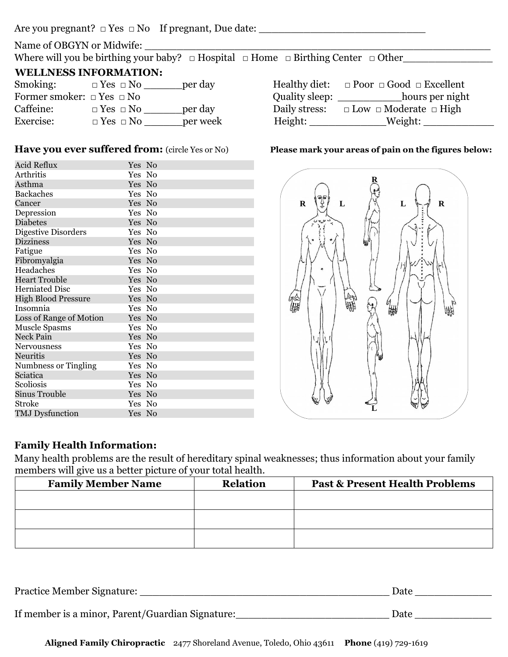# Are you pregnant?  $\Box$  Yes  $\Box$  No If pregnant, Due date:

Name of OBGYN or Midwife:

Where will you be birthing your baby? □ Hospital □ Home □ Birthing Center □ Other\_\_\_\_\_\_\_\_\_\_\_\_\_\_

### **WELLNESS INFORMATION:**

| Smoking:                            | $\Box$ Yes $\Box$ No | per day  |
|-------------------------------------|----------------------|----------|
| Former smoker: $\Box$ Yes $\Box$ No |                      |          |
| Caffeine:                           | $\Box$ Yes $\Box$ No | per day  |
| Exercise:                           | $\Box$ Yes $\Box$ No | per week |

# **Have you ever suffered from:** (circle Yes or No) **Please mark your areas of pain on the figures below:**

| Acid Reflux                 | Yes No |  |
|-----------------------------|--------|--|
| Arthritis                   | Yes No |  |
| Asthma                      | Yes No |  |
| <b>Backaches</b>            | Yes No |  |
| Cancer                      | Yes No |  |
| Depression                  | Yes No |  |
| <b>Diabetes</b>             | Yes No |  |
| <b>Digestive Disorders</b>  | Yes No |  |
| <b>Dizziness</b>            | Yes No |  |
| Fatigue                     | Yes No |  |
| Fibromyalgia                | Yes No |  |
| Headaches                   | Yes No |  |
| <b>Heart Trouble</b>        | Yes No |  |
| <b>Herniated Disc</b>       | Yes No |  |
| <b>High Blood Pressure</b>  | Yes No |  |
| Insomnia                    | Yes No |  |
| Loss of Range of Motion     | Yes No |  |
| <b>Muscle Spasms</b>        | Yes No |  |
| Neck Pain                   | Yes No |  |
| Nervousness                 | Yes No |  |
| Neuritis                    | Yes No |  |
| <b>Numbness or Tingling</b> | Yes No |  |
| Sciatica                    | Yes No |  |
| Scoliosis                   | Yes No |  |
| Sinus Trouble               | Yes No |  |
| Stroke                      | Yes No |  |
| <b>TMJ</b> Dysfunction      | Yes No |  |

# Healthy diet:  $\Box$  Poor  $\Box$  Good  $\Box$  Excellent Quality sleep: \_\_\_\_\_\_\_\_\_\_\_\_\_hours per night Daily stress:  $□ Low □ Moderned$   $□ High$ Height: United Weight:  $\blacksquare$



# **Family Health Information:**

Many health problems are the result of hereditary spinal weaknesses; thus information about your family members will give us a better picture of your total health.

| <b>Family Member Name</b> | <b>Relation</b> | <b>Past &amp; Present Health Problems</b> |
|---------------------------|-----------------|-------------------------------------------|
|                           |                 |                                           |
|                           |                 |                                           |
|                           |                 |                                           |
|                           |                 |                                           |
|                           |                 |                                           |
|                           |                 |                                           |

| <b>Practice Member Signature:</b>                | Date |
|--------------------------------------------------|------|
| If member is a minor, Parent/Guardian Signature: | Date |